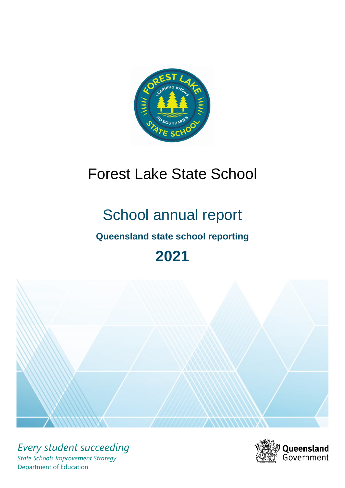

# Forest Lake State School

# School annual report

# **Queensland state school reporting**

# **2021**



*Every student succeeding State Schools Improvement Strategy* Department of Education

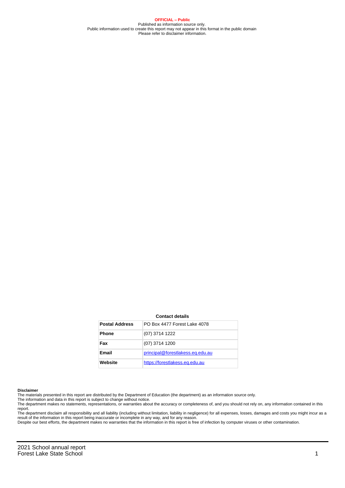**OFFICIAL – Public** Published as information source only. Public information used to create this report may not appear in this format in the public domain Please refer to disclaimer information.

#### **Contact details**

| <b>Postal Address</b> | PO Box 4477 Forest Lake 4078     |
|-----------------------|----------------------------------|
| <b>Phone</b>          | (07) 3714 1222                   |
| Fax                   | (07) 3714 1200                   |
| <b>Email</b>          | principal@forestlakess.eq.edu.au |
| Website               | https://forestlakess.eq.edu.au   |

#### **Disclaimer**

The materials presented in this report are distributed by the Department of Education (the department) as an information source only.

The information and data in this report is subject to change without notice.<br>The department makes no statements, representations, or warranties about the accuracy or completeness of, and you should not rely on, any informa report.

The department disclaim all responsibility and all liability (including without limitation, liability in negligence) for all expenses, losses, damages and costs you might incur as a result of the information in this report being inaccurate or incomplete in any way, and for any reason. Despite our best efforts, the department makes no warranties that the information in this report is free of infection by computer viruses or other contamination.

2021 School annual report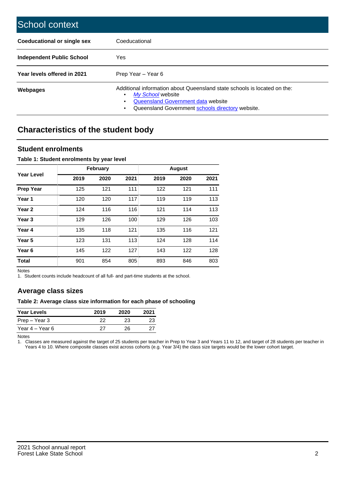| School context                   |                                                                                                                                                                                              |
|----------------------------------|----------------------------------------------------------------------------------------------------------------------------------------------------------------------------------------------|
| Coeducational or single sex      | Coeducational                                                                                                                                                                                |
| <b>Independent Public School</b> | <b>Yes</b>                                                                                                                                                                                   |
| Year levels offered in 2021      | Prep Year - Year 6                                                                                                                                                                           |
| Webpages                         | Additional information about Queensland state schools is located on the:<br>My School website<br>Queensland Government data website<br>Queensland Government schools directory website.<br>٠ |

# **Characteristics of the student body**

### **Student enrolments**

#### **Table 1: Student enrolments by year level**

|                   |      | <b>February</b> |      |      | <b>August</b> |      |
|-------------------|------|-----------------|------|------|---------------|------|
| Year Level        | 2019 | 2020            | 2021 | 2019 | 2020          | 2021 |
| <b>Prep Year</b>  | 125  | 121             | 111  | 122  | 121           | 111  |
| Year <sub>1</sub> | 120  | 120             | 117  | 119  | 119           | 113  |
| Year 2            | 124  | 116             | 116  | 121  | 114           | 113  |
| Year <sub>3</sub> | 129  | 126             | 100  | 129  | 126           | 103  |
| Year 4            | 135  | 118             | 121  | 135  | 116           | 121  |
| Year 5            | 123  | 131             | 113  | 124  | 128           | 114  |
| Year <sub>6</sub> | 145  | 122             | 127  | 143  | 122           | 128  |
| <b>Total</b>      | 901  | 854             | 805  | 893  | 846           | 803  |

Notes

1. Student counts include headcount of all full- and part-time students at the school.

## **Average class sizes**

#### **Table 2: Average class size information for each phase of schooling**

| <b>Year Levels</b> | 2019 | 2020 | 2021 |
|--------------------|------|------|------|
| Prep – Year 3      | 22   | 23   | 23   |
| Year 4 – Year 6    | 27   | 26.  | 27   |

Notes

1. Classes are measured against the target of 25 students per teacher in Prep to Year 3 and Years 11 to 12, and target of 28 students per teacher in Years 4 to 10. Where composite classes exist across cohorts (e.g. Year 3/4) the class size targets would be the lower cohort target.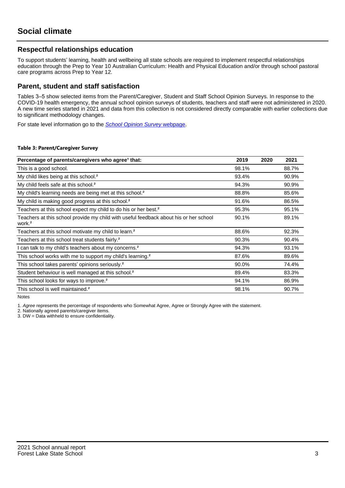## **Respectful relationships education**

To support students' learning, health and wellbeing all state schools are required to implement respectful relationships education through the Prep to Year 10 Australian Curriculum: Health and Physical Education and/or through school pastoral care programs across Prep to Year 12.

### **Parent, student and staff satisfaction**

Tables 3–5 show selected items from the Parent/Caregiver, Student and Staff School Opinion Surveys. In response to the COVID-19 health emergency, the annual school opinion surveys of students, teachers and staff were not administered in 2020. A new time series started in 2021 and data from this collection is not considered directly comparable with earlier collections due to significant methodology changes.

For state level information go to the **[School Opinion Survey](https://qed.qld.gov.au/publications/reports/statistics/schooling/schools/schoolopinionsurvey) webpage**.

#### **Table 3: Parent/Caregiver Survey**

| Percentage of parents/caregivers who agree <sup>1</sup> that:                                               | 2019  | 2020 | 2021  |
|-------------------------------------------------------------------------------------------------------------|-------|------|-------|
| This is a good school.                                                                                      | 98.1% |      | 88.7% |
| My child likes being at this school. <sup>2</sup>                                                           | 93.4% |      | 90.9% |
| My child feels safe at this school. <sup>2</sup>                                                            | 94.3% |      | 90.9% |
| My child's learning needs are being met at this school. <sup>2</sup>                                        | 88.8% |      | 85.6% |
| My child is making good progress at this school. <sup>2</sup>                                               | 91.6% |      | 86.5% |
| Teachers at this school expect my child to do his or her best. <sup>2</sup>                                 | 95.3% |      | 95.1% |
| Teachers at this school provide my child with useful feedback about his or her school<br>work. <sup>2</sup> | 90.1% |      | 89.1% |
| Teachers at this school motivate my child to learn. <sup>2</sup>                                            | 88.6% |      | 92.3% |
| Teachers at this school treat students fairly. <sup>2</sup>                                                 | 90.3% |      | 90.4% |
| can talk to my child's teachers about my concerns. <sup>2</sup>                                             | 94.3% |      | 93.1% |
| This school works with me to support my child's learning. <sup>2</sup>                                      | 87.6% |      | 89.6% |
| This school takes parents' opinions seriously. <sup>2</sup>                                                 | 90.0% |      | 74.4% |
| Student behaviour is well managed at this school. <sup>2</sup>                                              | 89.4% |      | 83.3% |
| This school looks for ways to improve. <sup>2</sup>                                                         | 94.1% |      | 86.9% |
| This school is well maintained. <sup>2</sup>                                                                | 98.1% |      | 90.7% |

Notes

1. Agree represents the percentage of respondents who Somewhat Agree, Agree or Strongly Agree with the statement.

2. Nationally agreed parents/caregiver items.

3. DW = Data withheld to ensure confidentiality.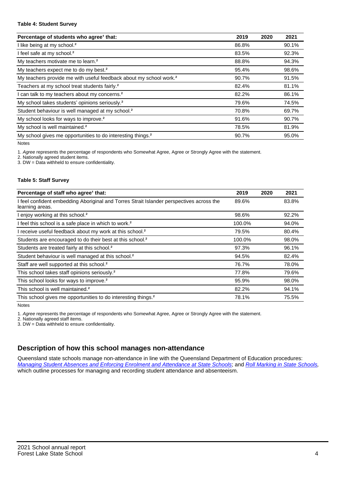#### **Table 4: Student Survey**

| Percentage of students who agree <sup>1</sup> that:                            | 2019  | 2020 | 2021  |
|--------------------------------------------------------------------------------|-------|------|-------|
| I like being at my school. <sup>2</sup>                                        | 86.8% |      | 90.1% |
| I feel safe at my school. <sup>2</sup>                                         | 83.5% |      | 92.3% |
| My teachers motivate me to learn. <sup>2</sup>                                 | 88.8% |      | 94.3% |
| My teachers expect me to do my best. <sup>2</sup>                              | 95.4% |      | 98.6% |
| My teachers provide me with useful feedback about my school work. <sup>2</sup> | 90.7% |      | 91.5% |
| Teachers at my school treat students fairly. <sup>2</sup>                      | 82.4% |      | 81.1% |
| I can talk to my teachers about my concerns. <sup>2</sup>                      | 82.2% |      | 86.1% |
| My school takes students' opinions seriously. <sup>2</sup>                     | 79.6% |      | 74.5% |
| Student behaviour is well managed at my school. <sup>2</sup>                   | 70.8% |      | 69.7% |
| My school looks for ways to improve. <sup>2</sup>                              | 91.6% |      | 90.7% |
| My school is well maintained. <sup>2</sup>                                     | 78.5% |      | 81.9% |
| My school gives me opportunities to do interesting things. <sup>2</sup>        | 90.7% |      | 95.0% |

Notes

1. Agree represents the percentage of respondents who Somewhat Agree, Agree or Strongly Agree with the statement.

2. Nationally agreed student items.

3. DW = Data withheld to ensure confidentiality.

#### **Table 5: Staff Survey**

| Percentage of staff who agree <sup>1</sup> that:                                                            | 2019   | 2020 | 2021  |
|-------------------------------------------------------------------------------------------------------------|--------|------|-------|
| I feel confident embedding Aboriginal and Torres Strait Islander perspectives across the<br>learning areas. | 89.6%  |      | 83.8% |
| I enjoy working at this school. <sup>2</sup>                                                                | 98.6%  |      | 92.2% |
| I feel this school is a safe place in which to work. <sup>2</sup>                                           | 100.0% |      | 94.0% |
| I receive useful feedback about my work at this school. <sup>2</sup>                                        | 79.5%  |      | 80.4% |
| Students are encouraged to do their best at this school. <sup>2</sup>                                       | 100.0% |      | 98.0% |
| Students are treated fairly at this school. <sup>2</sup>                                                    | 97.3%  |      | 96.1% |
| Student behaviour is well managed at this school. <sup>2</sup>                                              | 94.5%  |      | 82.4% |
| Staff are well supported at this school. <sup>2</sup>                                                       | 76.7%  |      | 78.0% |
| This school takes staff opinions seriously. <sup>2</sup>                                                    | 77.8%  |      | 79.6% |
| This school looks for ways to improve. <sup>2</sup>                                                         | 95.9%  |      | 98.0% |
| This school is well maintained. <sup>2</sup>                                                                | 82.2%  |      | 94.1% |
| This school gives me opportunities to do interesting things. <sup>2</sup>                                   | 78.1%  |      | 75.5% |

Notes

1. Agree represents the percentage of respondents who Somewhat Agree, Agree or Strongly Agree with the statement.

2. Nationally agreed staff items.

3. DW = Data withheld to ensure confidentiality.

## **Description of how this school manages non-attendance**

Queensland state schools manage non-attendance in line with the Queensland Department of Education procedures: [Managing Student Absences and Enforcing Enrolment and Attendance at State Schools](https://ppr.qed.qld.gov.au/pp/managing-student-absences-and-enforcing-enrolment-and-attendance-at-state-schools-procedure); and [Roll Marking in State Schools,](https://ppr.qed.qld.gov.au/pp/roll-marking-in-state-schools-procedure) which outline processes for managing and recording student attendance and absenteeism.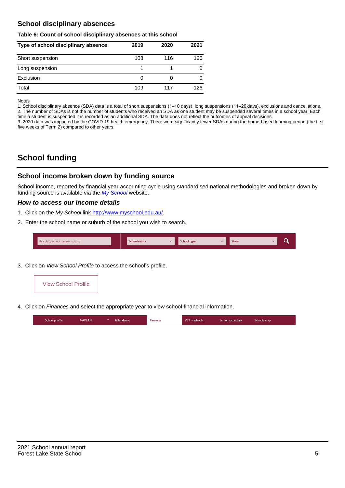## **School disciplinary absences**

#### **Table 6: Count of school disciplinary absences at this school**

| Type of school disciplinary absence | 2019 | 2020 | 2021 |
|-------------------------------------|------|------|------|
| Short suspension                    | 108  | 116  | 126  |
| Long suspension                     |      |      |      |
| Exclusion                           | 0    |      |      |
| Total                               | 109  | 117  | 126  |

Notes

1. School disciplinary absence (SDA) data is a total of short suspensions (1–10 days), long suspensions (11–20 days), exclusions and cancellations. 2. The number of SDAs is not the number of students who received an SDA as one student may be suspended several times in a school year. Each time a student is suspended it is recorded as an additional SDA. The data does not reflect the outcomes of appeal decisions.

3. 2020 data was impacted by the COVID-19 health emergency. There were significantly fewer SDAs during the home-based learning period (the first five weeks of Term 2) compared to other years.

# **School funding**

## **School income broken down by funding source**

School income, reported by financial year accounting cycle using standardised national methodologies and broken down by funding source is available via the  $My$  School website.

#### **How to access our income details**

- 1. Click on the My School link <http://www.myschool.edu.au/>.
- 2. Enter the school name or suburb of the school you wish to search.

| Search by school name or suburb | <b>School sector</b> | $\sim$ ochool type | <b>State</b> |  |  |
|---------------------------------|----------------------|--------------------|--------------|--|--|
|                                 |                      |                    |              |  |  |

3. Click on View School Profile to access the school's profile.



4. Click on Finances and select the appropriate year to view school financial information.

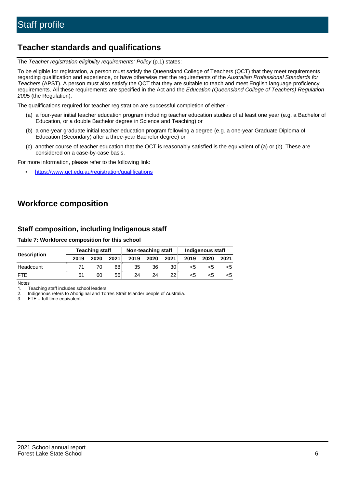# **Teacher standards and qualifications**

The Teacher registration eligibility requirements: Policy (p.1) states:

To be eligible for registration, a person must satisfy the Queensland College of Teachers (QCT) that they meet requirements regarding qualification and experience, or have otherwise met the requirements of the Australian Professional Standards for Teachers (APST). A person must also satisfy the QCT that they are suitable to teach and meet English language proficiency requirements. All these requirements are specified in the Act and the Education (Queensland College of Teachers) Regulation 2005 (the Regulation).

The qualifications required for teacher registration are successful completion of either -

- (a) a four-year initial teacher education program including teacher education studies of at least one year (e.g. a Bachelor of Education, or a double Bachelor degree in Science and Teaching) or
- (b) a one-year graduate initial teacher education program following a degree (e.g. a one-year Graduate Diploma of Education (Secondary) after a three-year Bachelor degree) or
- (c) another course of teacher education that the QCT is reasonably satisfied is the equivalent of (a) or (b). These are considered on a case-by-case basis.

For more information, please refer to the following link:

• <https://www.qct.edu.au/registration/qualifications>

# **Workforce composition**

## **Staff composition, including Indigenous staff**

#### **Table 7: Workforce composition for this school**

|                    | <b>Teaching staff</b> |      |      | Non-teaching staff |      |      | Indigenous staff |      |      |
|--------------------|-----------------------|------|------|--------------------|------|------|------------------|------|------|
| <b>Description</b> | 2019                  | 2020 | 2021 | 2019               | 2020 | 2021 | 2019             | 2020 | 2021 |
| Headcount          | 71                    |      | 68   | 35                 | 36   | 30   | <5               | <5   |      |
| <b>FTF</b>         | 61                    | 60   | 56   | 24                 | 24   | 22   | <5               | ה>   |      |

Notes

1. Teaching staff includes school leaders.

2. Indigenous refers to Aboriginal and Torres Strait Islander people of Australia.

3. FTE = full-time equivalent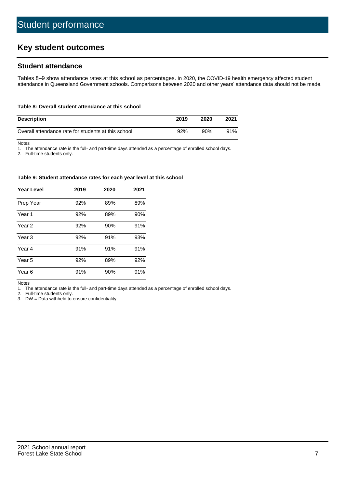# **Key student outcomes**

## **Student attendance**

Tables 8–9 show attendance rates at this school as percentages. In 2020, the COVID-19 health emergency affected student attendance in Queensland Government schools. Comparisons between 2020 and other years' attendance data should not be made.

#### **Table 8: Overall student attendance at this school**

| <b>Description</b>                                  | 2019 | 2020 | 2021 |
|-----------------------------------------------------|------|------|------|
| Overall attendance rate for students at this school | 92%  | 90%  | 91%  |

Notes

1. The attendance rate is the full- and part-time days attended as a percentage of enrolled school days.

2. Full-time students only.

#### **Table 9: Student attendance rates for each year level at this school**

| <b>Year Level</b> | 2019 | 2020 | 2021 |
|-------------------|------|------|------|
| Prep Year         | 92%  | 89%  | 89%  |
| Year <sub>1</sub> | 92%  | 89%  | 90%  |
| Year 2            | 92%  | 90%  | 91%  |
| Year 3            | 92%  | 91%  | 93%  |
| Year 4            | 91%  | 91%  | 91%  |
| Year 5            | 92%  | 89%  | 92%  |
| Year <sub>6</sub> | 91%  | 90%  | 91%  |

Notes

1. The attendance rate is the full- and part-time days attended as a percentage of enrolled school days.

2. Full-time students only.

3. DW = Data withheld to ensure confidentiality